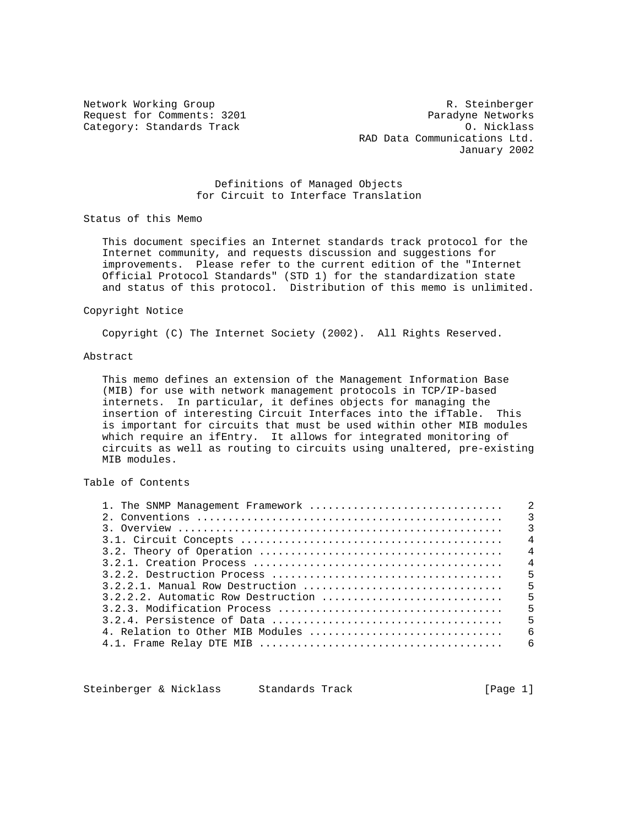Network Working Group **R. Steinberger** R. Steinberger Request for Comments: 3201 Paradyne Networks Category: Standards Track Category: Standards Track Category: Standards Track Category: O. Nicklass RAD Data Communications Ltd. January 2002

## Definitions of Managed Objects for Circuit to Interface Translation

Status of this Memo

 This document specifies an Internet standards track protocol for the Internet community, and requests discussion and suggestions for improvements. Please refer to the current edition of the "Internet Official Protocol Standards" (STD 1) for the standardization state and status of this protocol. Distribution of this memo is unlimited.

#### Copyright Notice

Copyright (C) The Internet Society (2002). All Rights Reserved.

## Abstract

 This memo defines an extension of the Management Information Base (MIB) for use with network management protocols in TCP/IP-based internets. In particular, it defines objects for managing the insertion of interesting Circuit Interfaces into the ifTable. This is important for circuits that must be used within other MIB modules which require an ifEntry. It allows for integrated monitoring of circuits as well as routing to circuits using unaltered, pre-existing MIB modules.

# Table of Contents

|  | $\overline{4}$ |
|--|----------------|
|  |                |
|  |                |
|  |                |
|  |                |
|  |                |
|  |                |
|  | $5^{\circ}$    |
|  |                |
|  |                |
|  |                |

Steinberger & Nicklass Standards Track [Page 1]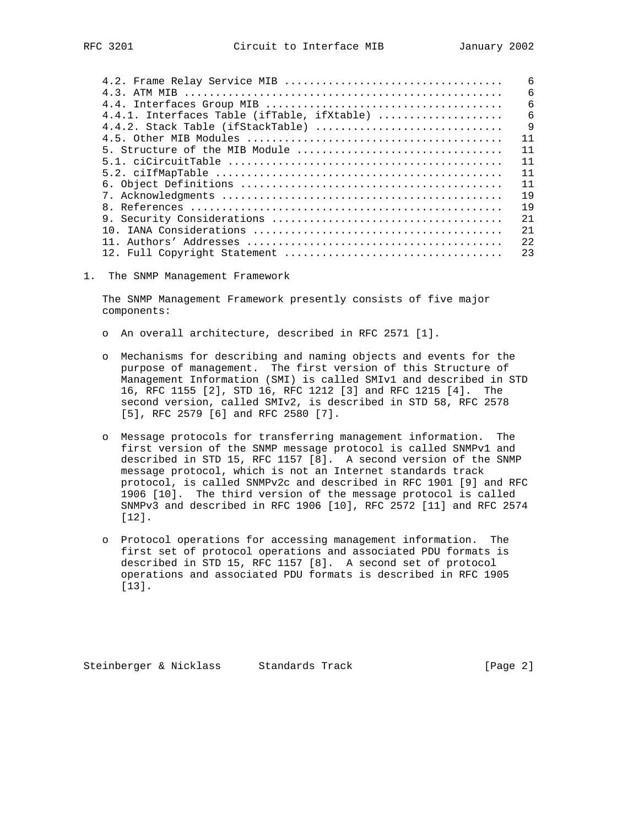|                                             | 6               |
|---------------------------------------------|-----------------|
|                                             | 6               |
|                                             | $6\overline{6}$ |
| 4.4.1. Interfaces Table (ifTable, ifXtable) | 6               |
| 4.4.2. Stack Table (ifStackTable)           | $\mathsf{Q}$    |
|                                             | 11              |
| 5. Structure of the MIB Module              | 11              |
|                                             | 11              |
|                                             | 11              |
|                                             | 11              |
|                                             | 19              |
|                                             | 19              |
|                                             | 2.1             |
|                                             | 2.1             |
|                                             | 2.2.            |
|                                             | 23              |
|                                             |                 |

1. The SNMP Management Framework

 The SNMP Management Framework presently consists of five major components:

- o An overall architecture, described in RFC 2571 [1].
- o Mechanisms for describing and naming objects and events for the purpose of management. The first version of this Structure of Management Information (SMI) is called SMIv1 and described in STD 16, RFC 1155 [2], STD 16, RFC 1212 [3] and RFC 1215 [4]. The second version, called SMIv2, is described in STD 58, RFC 2578 [5], RFC 2579 [6] and RFC 2580 [7].
- o Message protocols for transferring management information. The first version of the SNMP message protocol is called SNMPv1 and described in STD 15, RFC 1157 [8]. A second version of the SNMP message protocol, which is not an Internet standards track protocol, is called SNMPv2c and described in RFC 1901 [9] and RFC 1906 [10]. The third version of the message protocol is called SNMPv3 and described in RFC 1906 [10], RFC 2572 [11] and RFC 2574 [12].
- o Protocol operations for accessing management information. The first set of protocol operations and associated PDU formats is described in STD 15, RFC 1157 [8]. A second set of protocol operations and associated PDU formats is described in RFC 1905 [13].

Steinberger & Nicklass Standards Track [Page 2]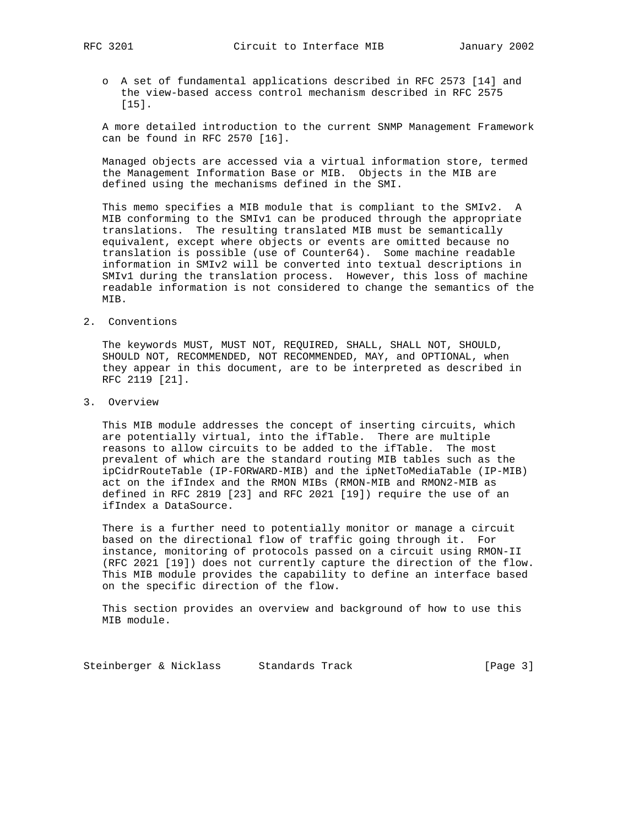o A set of fundamental applications described in RFC 2573 [14] and the view-based access control mechanism described in RFC 2575 [15].

 A more detailed introduction to the current SNMP Management Framework can be found in RFC 2570 [16].

 Managed objects are accessed via a virtual information store, termed the Management Information Base or MIB. Objects in the MIB are defined using the mechanisms defined in the SMI.

 This memo specifies a MIB module that is compliant to the SMIv2. A MIB conforming to the SMIv1 can be produced through the appropriate translations. The resulting translated MIB must be semantically equivalent, except where objects or events are omitted because no translation is possible (use of Counter64). Some machine readable information in SMIv2 will be converted into textual descriptions in SMIv1 during the translation process. However, this loss of machine readable information is not considered to change the semantics of the MIB.

2. Conventions

 The keywords MUST, MUST NOT, REQUIRED, SHALL, SHALL NOT, SHOULD, SHOULD NOT, RECOMMENDED, NOT RECOMMENDED, MAY, and OPTIONAL, when they appear in this document, are to be interpreted as described in RFC 2119 [21].

3. Overview

 This MIB module addresses the concept of inserting circuits, which are potentially virtual, into the ifTable. There are multiple reasons to allow circuits to be added to the ifTable. The most prevalent of which are the standard routing MIB tables such as the ipCidrRouteTable (IP-FORWARD-MIB) and the ipNetToMediaTable (IP-MIB) act on the ifIndex and the RMON MIBs (RMON-MIB and RMON2-MIB as defined in RFC 2819 [23] and RFC 2021 [19]) require the use of an ifIndex a DataSource.

 There is a further need to potentially monitor or manage a circuit based on the directional flow of traffic going through it. For instance, monitoring of protocols passed on a circuit using RMON-II (RFC 2021 [19]) does not currently capture the direction of the flow. This MIB module provides the capability to define an interface based on the specific direction of the flow.

 This section provides an overview and background of how to use this MIB module.

Steinberger & Nicklass Standards Track [Page 3]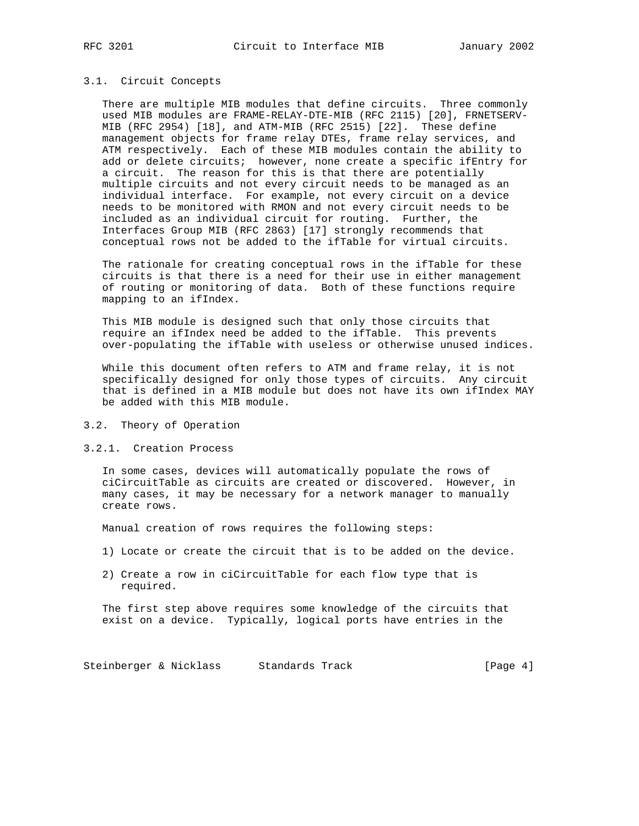#### 3.1. Circuit Concepts

 There are multiple MIB modules that define circuits. Three commonly used MIB modules are FRAME-RELAY-DTE-MIB (RFC 2115) [20], FRNETSERV- MIB (RFC 2954) [18], and ATM-MIB (RFC 2515) [22]. These define management objects for frame relay DTEs, frame relay services, and ATM respectively. Each of these MIB modules contain the ability to add or delete circuits; however, none create a specific ifEntry for a circuit. The reason for this is that there are potentially multiple circuits and not every circuit needs to be managed as an individual interface. For example, not every circuit on a device needs to be monitored with RMON and not every circuit needs to be included as an individual circuit for routing. Further, the Interfaces Group MIB (RFC 2863) [17] strongly recommends that conceptual rows not be added to the ifTable for virtual circuits.

 The rationale for creating conceptual rows in the ifTable for these circuits is that there is a need for their use in either management of routing or monitoring of data. Both of these functions require mapping to an ifIndex.

 This MIB module is designed such that only those circuits that require an ifIndex need be added to the ifTable. This prevents over-populating the ifTable with useless or otherwise unused indices.

 While this document often refers to ATM and frame relay, it is not specifically designed for only those types of circuits. Any circuit that is defined in a MIB module but does not have its own ifIndex MAY be added with this MIB module.

3.2. Theory of Operation

## 3.2.1. Creation Process

 In some cases, devices will automatically populate the rows of ciCircuitTable as circuits are created or discovered. However, in many cases, it may be necessary for a network manager to manually create rows.

Manual creation of rows requires the following steps:

- 1) Locate or create the circuit that is to be added on the device.
- 2) Create a row in ciCircuitTable for each flow type that is required.

 The first step above requires some knowledge of the circuits that exist on a device. Typically, logical ports have entries in the

Steinberger & Nicklass Standards Track [Page 4]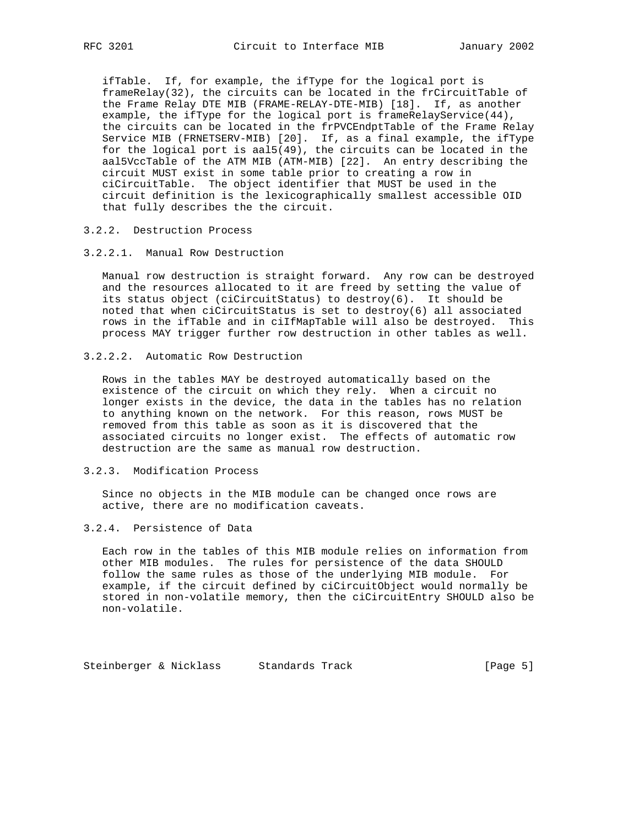ifTable. If, for example, the ifType for the logical port is frameRelay(32), the circuits can be located in the frCircuitTable of the Frame Relay DTE MIB (FRAME-RELAY-DTE-MIB) [18]. If, as another example, the ifType for the logical port is frameRelayService(44), the circuits can be located in the frPVCEndptTable of the Frame Relay Service MIB (FRNETSERV-MIB) [20]. If, as a final example, the ifType for the logical port is aal5(49), the circuits can be located in the aal5VccTable of the ATM MIB (ATM-MIB) [22]. An entry describing the circuit MUST exist in some table prior to creating a row in ciCircuitTable. The object identifier that MUST be used in the circuit definition is the lexicographically smallest accessible OID that fully describes the the circuit.

## 3.2.2. Destruction Process

### 3.2.2.1. Manual Row Destruction

 Manual row destruction is straight forward. Any row can be destroyed and the resources allocated to it are freed by setting the value of its status object (ciCircuitStatus) to destroy(6). It should be noted that when ciCircuitStatus is set to destroy(6) all associated rows in the ifTable and in ciIfMapTable will also be destroyed. This process MAY trigger further row destruction in other tables as well.

## 3.2.2.2. Automatic Row Destruction

 Rows in the tables MAY be destroyed automatically based on the existence of the circuit on which they rely. When a circuit no longer exists in the device, the data in the tables has no relation to anything known on the network. For this reason, rows MUST be removed from this table as soon as it is discovered that the associated circuits no longer exist. The effects of automatic row destruction are the same as manual row destruction.

## 3.2.3. Modification Process

 Since no objects in the MIB module can be changed once rows are active, there are no modification caveats.

## 3.2.4. Persistence of Data

 Each row in the tables of this MIB module relies on information from other MIB modules. The rules for persistence of the data SHOULD follow the same rules as those of the underlying MIB module. For example, if the circuit defined by ciCircuitObject would normally be stored in non-volatile memory, then the ciCircuitEntry SHOULD also be non-volatile.

Steinberger & Nicklass Standards Track [Page 5]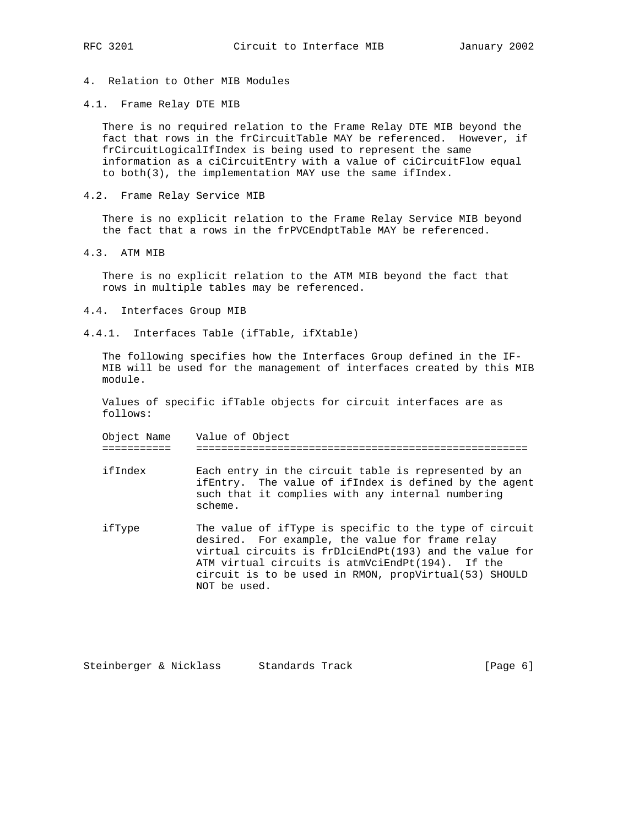# 4. Relation to Other MIB Modules

4.1. Frame Relay DTE MIB

 There is no required relation to the Frame Relay DTE MIB beyond the fact that rows in the frCircuitTable MAY be referenced. However, if frCircuitLogicalIfIndex is being used to represent the same information as a ciCircuitEntry with a value of ciCircuitFlow equal to both(3), the implementation MAY use the same ifIndex.

4.2. Frame Relay Service MIB

 There is no explicit relation to the Frame Relay Service MIB beyond the fact that a rows in the frPVCEndptTable MAY be referenced.

4.3. ATM MIB

 There is no explicit relation to the ATM MIB beyond the fact that rows in multiple tables may be referenced.

- 4.4. Interfaces Group MIB
- 4.4.1. Interfaces Table (ifTable, ifXtable)

 The following specifies how the Interfaces Group defined in the IF- MIB will be used for the management of interfaces created by this MIB module.

 Values of specific ifTable objects for circuit interfaces are as follows:

| Object<br>I N H I | $TT -$<br>Value<br>UĽ<br>◡∸<br>$\sim$   |
|-------------------|-----------------------------------------|
| _ _ _ _ _ _ _ _ _ | $\overline{\phantom{a}}$<br>- - -<br>-- |

 ifIndex Each entry in the circuit table is represented by an ifEntry. The value of ifIndex is defined by the agent such that it complies with any internal numbering scheme.

 ifType The value of ifType is specific to the type of circuit desired. For example, the value for frame relay virtual circuits is frDlciEndPt(193) and the value for ATM virtual circuits is atmVciEndPt(194). If the circuit is to be used in RMON, propVirtual(53) SHOULD NOT be used.

Steinberger & Nicklass Standards Track [Page 6]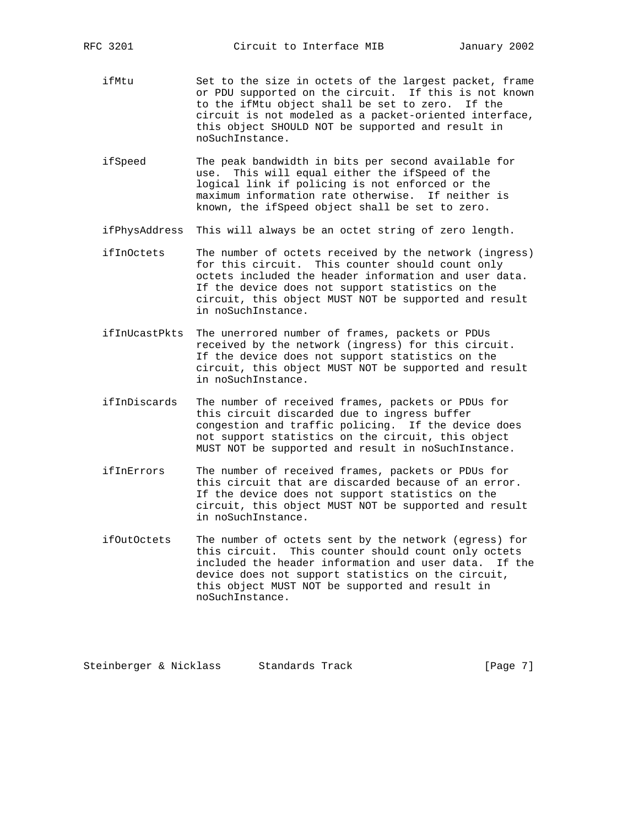- ifMtu Set to the size in octets of the largest packet, frame or PDU supported on the circuit. If this is not known to the ifMtu object shall be set to zero. If the circuit is not modeled as a packet-oriented interface, this object SHOULD NOT be supported and result in noSuchInstance.
	- ifSpeed The peak bandwidth in bits per second available for use. This will equal either the ifSpeed of the logical link if policing is not enforced or the maximum information rate otherwise. If neither is known, the ifSpeed object shall be set to zero.
	- ifPhysAddress This will always be an octet string of zero length.
	- ifInOctets The number of octets received by the network (ingress) for this circuit. This counter should count only octets included the header information and user data. If the device does not support statistics on the circuit, this object MUST NOT be supported and result in noSuchInstance.
	- ifInUcastPkts The unerrored number of frames, packets or PDUs received by the network (ingress) for this circuit. If the device does not support statistics on the circuit, this object MUST NOT be supported and result in noSuchInstance.
	- ifInDiscards The number of received frames, packets or PDUs for this circuit discarded due to ingress buffer congestion and traffic policing. If the device does not support statistics on the circuit, this object MUST NOT be supported and result in noSuchInstance.
	- ifInErrors The number of received frames, packets or PDUs for this circuit that are discarded because of an error. If the device does not support statistics on the circuit, this object MUST NOT be supported and result in noSuchInstance.
	- ifOutOctets The number of octets sent by the network (egress) for this circuit. This counter should count only octets included the header information and user data. If the device does not support statistics on the circuit, this object MUST NOT be supported and result in noSuchInstance.

Steinberger & Nicklass Standards Track [Page 7]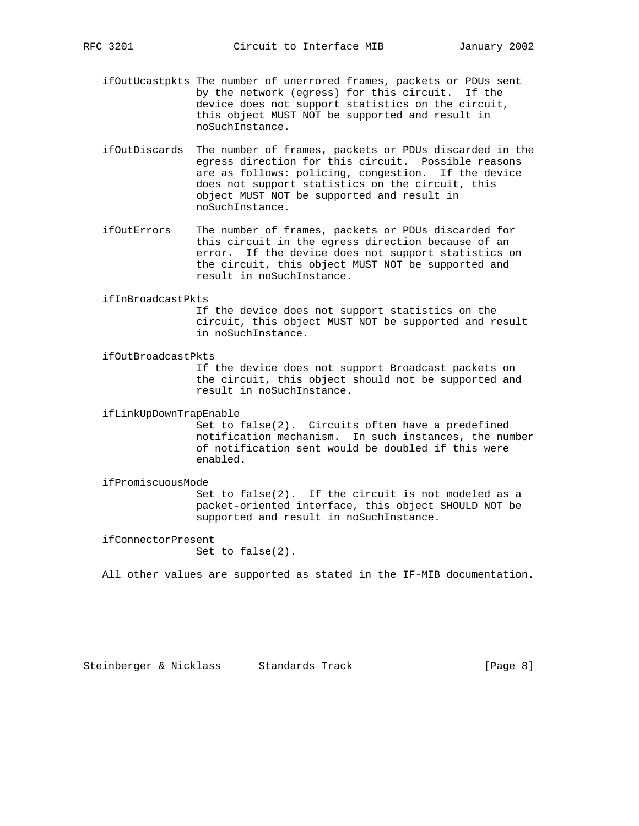- ifOutUcastpkts The number of unerrored frames, packets or PDUs sent by the network (egress) for this circuit. If the device does not support statistics on the circuit, this object MUST NOT be supported and result in noSuchInstance.
- ifOutDiscards The number of frames, packets or PDUs discarded in the egress direction for this circuit. Possible reasons are as follows: policing, congestion. If the device does not support statistics on the circuit, this object MUST NOT be supported and result in noSuchInstance.
- ifOutErrors The number of frames, packets or PDUs discarded for this circuit in the egress direction because of an error. If the device does not support statistics on the circuit, this object MUST NOT be supported and result in noSuchInstance.

#### ifInBroadcastPkts

 If the device does not support statistics on the circuit, this object MUST NOT be supported and result in noSuchInstance.

ifOutBroadcastPkts

 If the device does not support Broadcast packets on the circuit, this object should not be supported and result in noSuchInstance.

ifLinkUpDownTrapEnable

 Set to false(2). Circuits often have a predefined notification mechanism. In such instances, the number of notification sent would be doubled if this were enabled.

## ifPromiscuousMode

 Set to false(2). If the circuit is not modeled as a packet-oriented interface, this object SHOULD NOT be supported and result in noSuchInstance.

ifConnectorPresent

Set to false(2).

All other values are supported as stated in the IF-MIB documentation.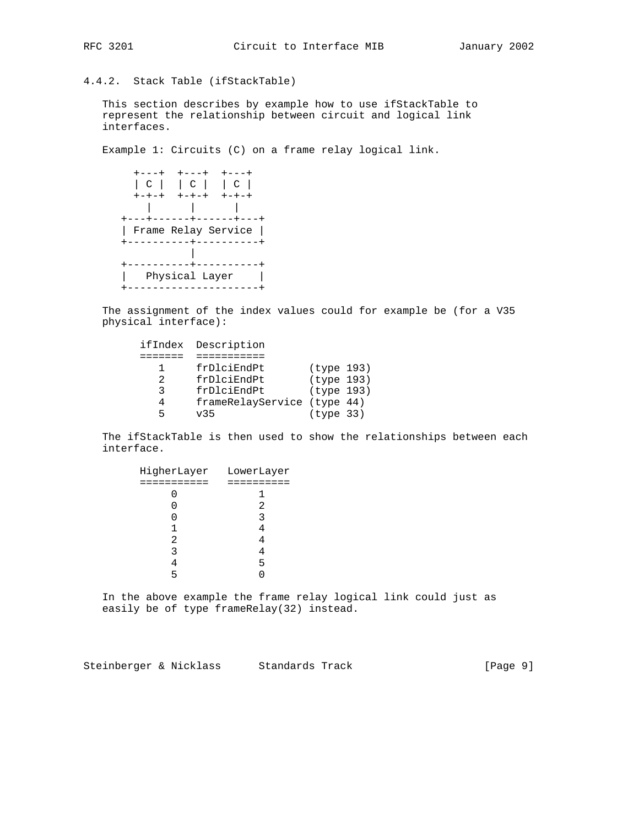# 4.4.2. Stack Table (ifStackTable)

 This section describes by example how to use ifStackTable to represent the relationship between circuit and logical link interfaces.

Example 1: Circuits (C) on a frame relay logical link.

|                     | C       C       C |             |
|---------------------|-------------------|-------------|
| $+ - + - +$         | $+-+ - +$         | $+ - + - +$ |
|                     |                   |             |
|                     |                   |             |
| Frame Relay Service |                   |             |
|                     |                   |             |
|                     |                   |             |
|                     |                   |             |
|                     | Physical Layer    |             |
|                     |                   |             |

 The assignment of the index values could for example be (for a V35 physical interface):

|   | ifIndex Description         |            |  |
|---|-----------------------------|------------|--|
|   |                             |            |  |
|   | frDlciEndPt                 | (type 193) |  |
| 2 | frDlciEndPt                 | (type 193) |  |
| ર | frDlciEndPt                 | (type 193) |  |
|   | frameRelayService (type 44) |            |  |
|   | <b>v35</b>                  | (type 33)  |  |

 The ifStackTable is then used to show the relationships between each interface.

|           | HigherLayer LowerLayer |
|-----------|------------------------|
| ========= |                        |
|           |                        |
|           | 2                      |
|           | 3                      |
|           |                        |
| 2         |                        |
| 3         |                        |
|           | 5                      |
| 5         |                        |
|           |                        |

 In the above example the frame relay logical link could just as easily be of type frameRelay(32) instead.

Steinberger & Nicklass Standards Track [Page 9]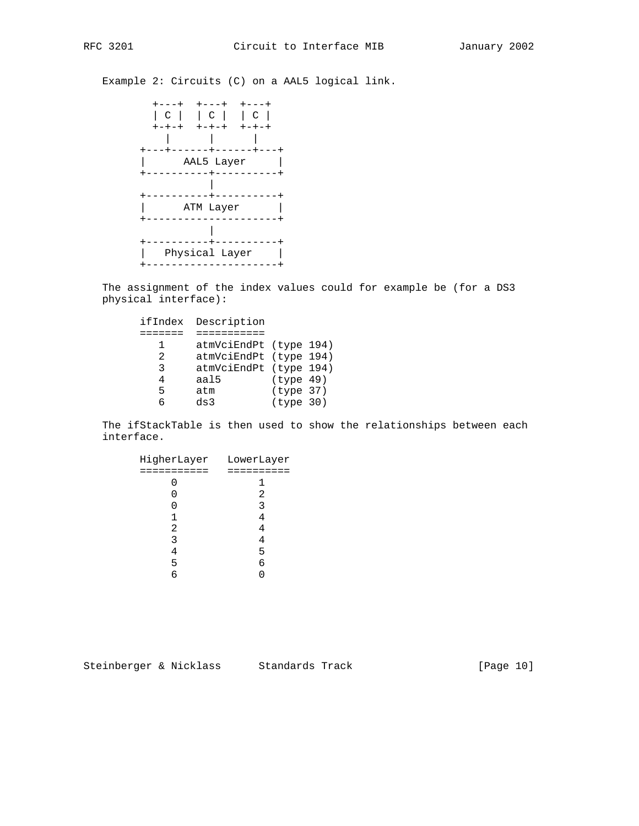Example 2: Circuits (C) on a AAL5 logical link.



 The assignment of the index values could for example be (for a DS3 physical interface):

|   | ifIndex Description    |           |  |
|---|------------------------|-----------|--|
|   |                        |           |  |
| ı | atmVciEndPt (type 194) |           |  |
| 2 | atmVciEndPt (type 194) |           |  |
| २ | atmVciEndPt (type 194) |           |  |
| 4 | aal5                   | (type 49) |  |
| 5 | atm                    | (type 37) |  |
| Б | ds3                    | (type 30) |  |

 The ifStackTable is then used to show the relationships between each interface.

| HigherLayer | LowerLayer |
|-------------|------------|
| =========== | ========== |
|             |            |
|             | 2          |
|             | 3          |
|             |            |
| 2           |            |
| 3           |            |
| 4           | 5          |
| 5           | 6          |
| б           |            |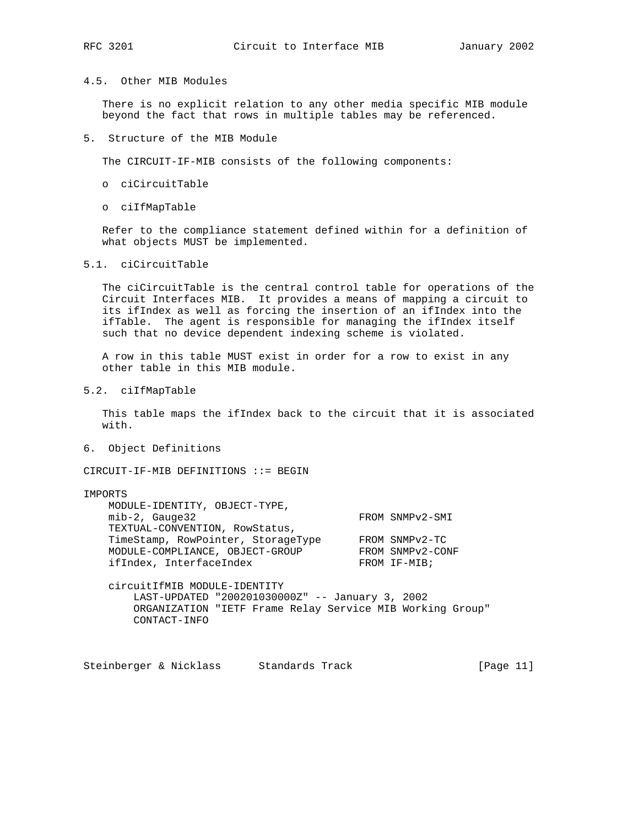## 4.5. Other MIB Modules

 There is no explicit relation to any other media specific MIB module beyond the fact that rows in multiple tables may be referenced.

5. Structure of the MIB Module

The CIRCUIT-IF-MIB consists of the following components:

- o ciCircuitTable
- o ciIfMapTable

 Refer to the compliance statement defined within for a definition of what objects MUST be implemented.

5.1. ciCircuitTable

 The ciCircuitTable is the central control table for operations of the Circuit Interfaces MIB. It provides a means of mapping a circuit to its ifIndex as well as forcing the insertion of an ifIndex into the ifTable. The agent is responsible for managing the ifIndex itself such that no device dependent indexing scheme is violated.

 A row in this table MUST exist in order for a row to exist in any other table in this MIB module.

5.2. ciIfMapTable

 This table maps the ifIndex back to the circuit that it is associated with.

6. Object Definitions

CIRCUIT-IF-MIB DEFINITIONS ::= BEGIN

## IMPORTS

| MODULE-IDENTITY, OBJECT-TYPE,      |                  |
|------------------------------------|------------------|
| $min-2$ , Gauge32                  | FROM SNMPv2-SMI  |
| TEXTUAL-CONVENTION, RowStatus,     |                  |
| TimeStamp, RowPointer, StorageType | FROM SNMPv2-TC   |
| MODULE-COMPLIANCE, OBJECT-GROUP    | FROM SNMPv2-CONF |
| ifIndex, InterfaceIndex            | FROM IF-MIB;     |

 circuitIfMIB MODULE-IDENTITY LAST-UPDATED "200201030000Z" -- January 3, 2002 ORGANIZATION "IETF Frame Relay Service MIB Working Group" CONTACT-INFO

Steinberger & Nicklass Standards Track [Page 11]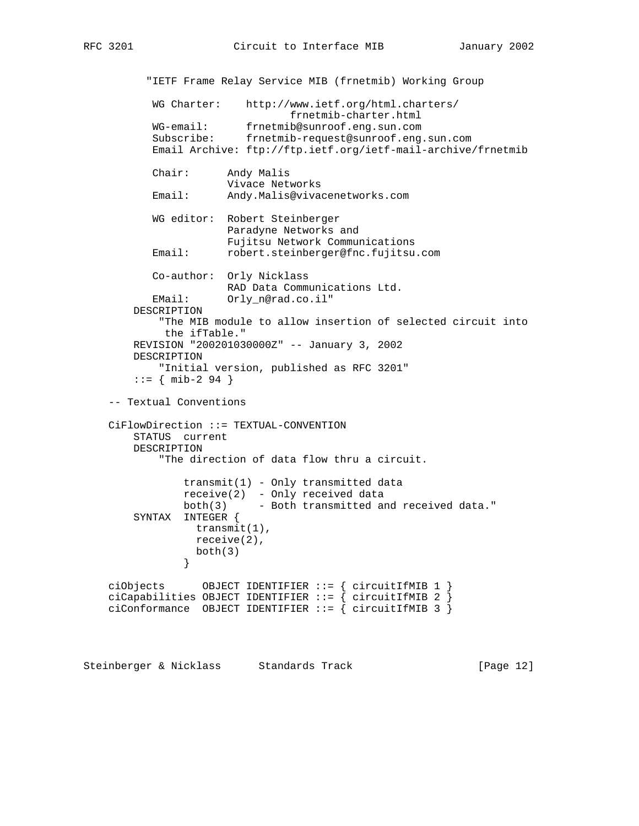"IETF Frame Relay Service MIB (frnetmib) Working Group WG Charter: http://www.ietf.org/html.charters/ frnetmib-charter.html WG-email: frnetmib@sunroof.eng.sun.com Subscribe: frnetmib-request@sunroof.eng.sun.com Email Archive: ftp://ftp.ietf.org/ietf-mail-archive/frnetmib Chair: Andy Malis Vivace Networks Email: Andy.Malis@vivacenetworks.com WG editor: Robert Steinberger Paradyne Networks and Fujitsu Network Communications Email: robert.steinberger@fnc.fujitsu.com Co-author: Orly Nicklass RAD Data Communications Ltd. EMail: Orly\_n@rad.co.il" DESCRIPTION "The MIB module to allow insertion of selected circuit into the ifTable." REVISION "200201030000Z" -- January 3, 2002 DESCRIPTION "Initial version, published as RFC 3201"  $::=$  { mib-2 94 } -- Textual Conventions CiFlowDirection ::= TEXTUAL-CONVENTION STATUS current DESCRIPTION "The direction of data flow thru a circuit.  $transmit(1) - Only transmitted data$  receive(2) - Only received data both(3) - Both transmitted and received data." SYNTAX INTEGER { transmit(1), receive(2),  $both(3)$  } ciObjects OBJECT IDENTIFIER  $::=$  { circuitIfMIB 1 } ciCapabilities OBJECT IDENTIFIER ::= { circuitIfMIB 2 } ciConformance OBJECT IDENTIFIER ::= { circuitIfMIB 3 }

Steinberger & Nicklass Standards Track [Page 12]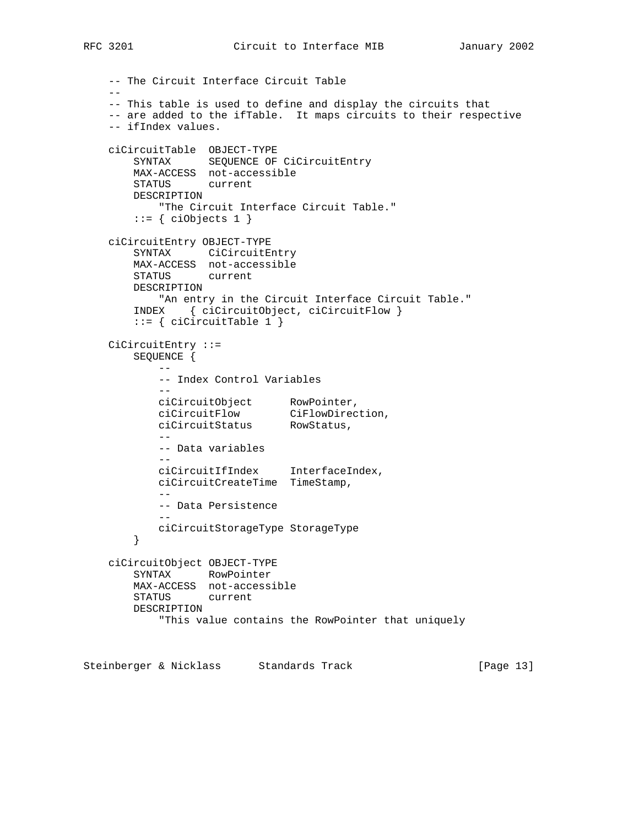```
 -- The Circuit Interface Circuit Table
 --
    -- This table is used to define and display the circuits that
    -- are added to the ifTable. It maps circuits to their respective
    -- ifIndex values.
    ciCircuitTable OBJECT-TYPE
       SYNTAX SEQUENCE OF CiCircuitEntry
       MAX-ACCESS not-accessible
       STATUS current
       DESCRIPTION
           "The Circuit Interface Circuit Table."
       ::= { ciObjects 1 }
    ciCircuitEntry OBJECT-TYPE
        SYNTAX CiCircuitEntry
       MAX-ACCESS not-accessible
        STATUS current
       DESCRIPTION
           "An entry in the Circuit Interface Circuit Table."
        INDEX { ciCircuitObject, ciCircuitFlow }
       ::= { ciCircuitTable 1 }
    CiCircuitEntry ::=
        SEQUENCE {
 --
           -- Index Control Variables
 --
 ciCircuitObject RowPointer,
 ciCircuitFlow CiFlowDirection,
 ciCircuitStatus RowStatus,
 --
           -- Data variables
          - ciCircuitIfIndex InterfaceIndex,
           ciCircuitCreateTime TimeStamp,
 --
           -- Data Persistence
 --
           ciCircuitStorageType StorageType
        }
    ciCircuitObject OBJECT-TYPE
       SYNTAX RowPointer
       MAX-ACCESS not-accessible
        STATUS current
       DESCRIPTION
           "This value contains the RowPointer that uniquely
```
Steinberger & Nicklass Standards Track [Page 13]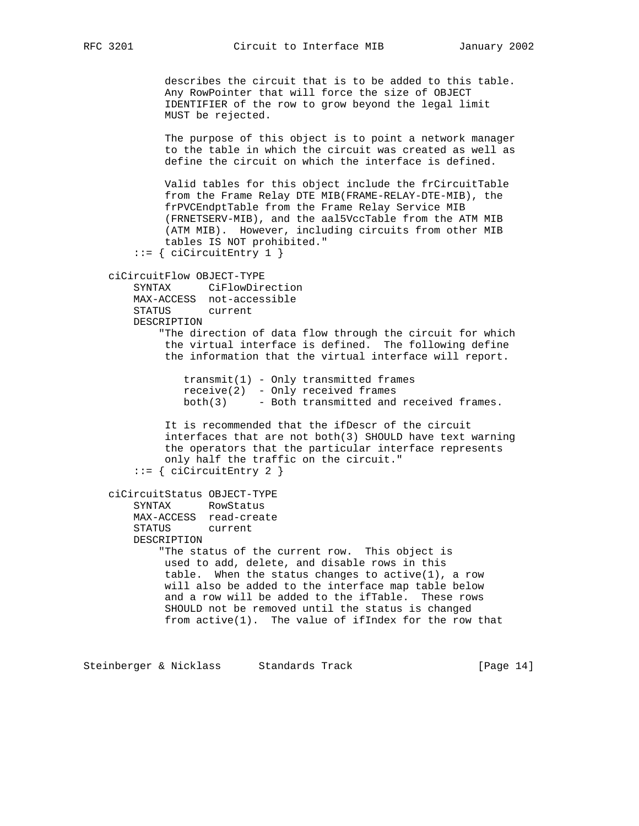describes the circuit that is to be added to this table. Any RowPointer that will force the size of OBJECT IDENTIFIER of the row to grow beyond the legal limit MUST be rejected. The purpose of this object is to point a network manager to the table in which the circuit was created as well as define the circuit on which the interface is defined. Valid tables for this object include the frCircuitTable from the Frame Relay DTE MIB(FRAME-RELAY-DTE-MIB), the frPVCEndptTable from the Frame Relay Service MIB (FRNETSERV-MIB), and the aal5VccTable from the ATM MIB (ATM MIB). However, including circuits from other MIB tables IS NOT prohibited."  $::=$  { ciCircuitEntry 1 } ciCircuitFlow OBJECT-TYPE SYNTAX CiFlowDirection MAX-ACCESS not-accessible STATUS current DESCRIPTION "The direction of data flow through the circuit for which the virtual interface is defined. The following define the information that the virtual interface will report. transmit(1) - Only transmitted frames receive(2) - Only received frames both(3) - Both transmitted and received frames. It is recommended that the ifDescr of the circuit interfaces that are not both(3) SHOULD have text warning the operators that the particular interface represents only half the traffic on the circuit." ::= { ciCircuitEntry 2 } ciCircuitStatus OBJECT-TYPE SYNTAX RowStatus MAX-ACCESS read-create STATUS current DESCRIPTION "The status of the current row. This object is used to add, delete, and disable rows in this table. When the status changes to active(1), a row will also be added to the interface map table below and a row will be added to the ifTable. These rows SHOULD not be removed until the status is changed from active(1). The value of ifIndex for the row that Steinberger & Nicklass Standards Track [Page 14]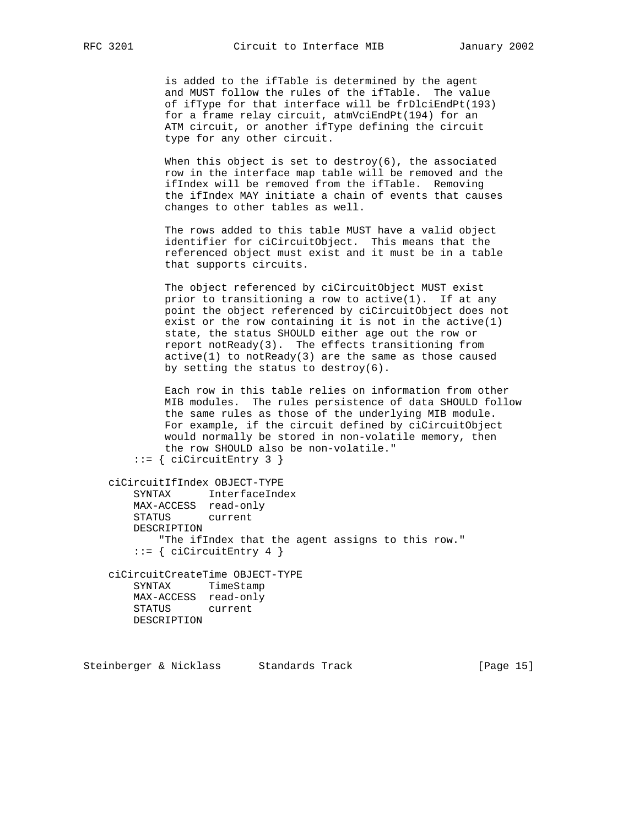is added to the ifTable is determined by the agent and MUST follow the rules of the ifTable. The value of ifType for that interface will be frDlciEndPt(193) for a frame relay circuit, atmVciEndPt(194) for an ATM circuit, or another ifType defining the circuit type for any other circuit.

When this object is set to destroy( $6$ ), the associated row in the interface map table will be removed and the ifIndex will be removed from the ifTable. Removing the ifIndex MAY initiate a chain of events that causes changes to other tables as well.

 The rows added to this table MUST have a valid object identifier for ciCircuitObject. This means that the referenced object must exist and it must be in a table that supports circuits.

 The object referenced by ciCircuitObject MUST exist prior to transitioning a row to active(1). If at any point the object referenced by ciCircuitObject does not exist or the row containing it is not in the active(1) state, the status SHOULD either age out the row or report notReady(3). The effects transitioning from  $active(1)$  to notReady(3) are the same as those caused by setting the status to destroy(6).

 Each row in this table relies on information from other MIB modules. The rules persistence of data SHOULD follow the same rules as those of the underlying MIB module. For example, if the circuit defined by ciCircuitObject would normally be stored in non-volatile memory, then the row SHOULD also be non-volatile." ::= { ciCircuitEntry 3 }

```
 ciCircuitIfIndex OBJECT-TYPE
    SYNTAX InterfaceIndex
    MAX-ACCESS read-only
    STATUS current
    DESCRIPTION
        "The ifIndex that the agent assigns to this row."
    ::= { ciCircuitEntry 4 }
 ciCircuitCreateTime OBJECT-TYPE
    SYNTAX TimeStamp
    MAX-ACCESS read-only
```
STATUS current

DESCRIPTION

```
Steinberger & Nicklass Standards Track [Page 15]
```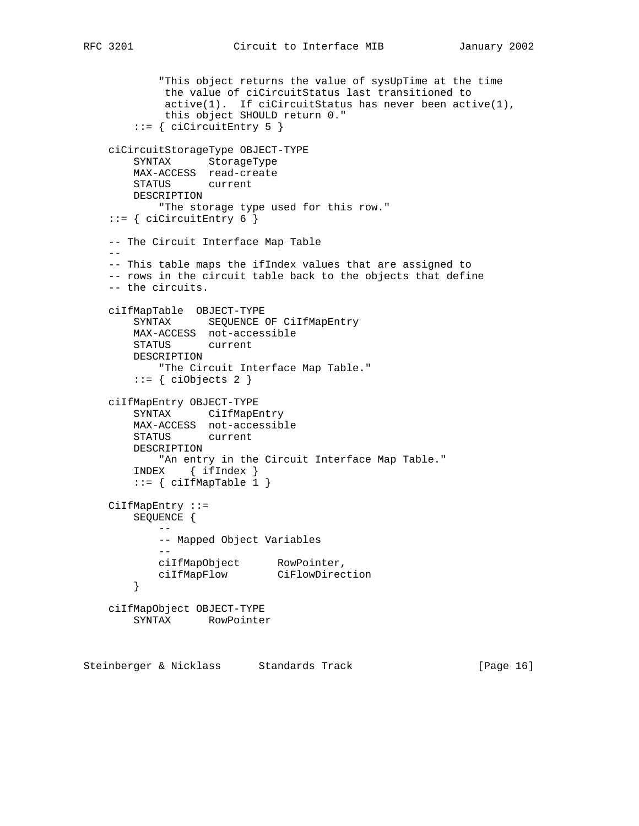```
 "This object returns the value of sysUpTime at the time
            the value of ciCircuitStatus last transitioned to
 active(1). If ciCircuitStatus has never been active(1),
 this object SHOULD return 0."
       ::= { ciCircuitEntry 5 }
    ciCircuitStorageType OBJECT-TYPE
        SYNTAX StorageType
        MAX-ACCESS read-create
        STATUS current
        DESCRIPTION
           "The storage type used for this row."
   ::= { ciCircuitEntry 6 }
    -- The Circuit Interface Map Table
 --
    -- This table maps the ifIndex values that are assigned to
    -- rows in the circuit table back to the objects that define
    -- the circuits.
    ciIfMapTable OBJECT-TYPE
        SYNTAX SEQUENCE OF CiIfMapEntry
        MAX-ACCESS not-accessible
        STATUS current
        DESCRIPTION
           "The Circuit Interface Map Table."
       ::= { ciObjects 2 }
    ciIfMapEntry OBJECT-TYPE
        SYNTAX CiIfMapEntry
        MAX-ACCESS not-accessible
        STATUS current
        DESCRIPTION
           "An entry in the Circuit Interface Map Table."
        INDEX { ifIndex }
       ::= { ciIfMapTable 1 }
    CiIfMapEntry ::=
        SEQUENCE {
 --
           -- Mapped Object Variables
 --
 ciIfMapObject RowPointer,
 ciIfMapFlow CiFlowDirection
        }
    ciIfMapObject OBJECT-TYPE
        SYNTAX RowPointer
```
Steinberger & Nicklass Standards Track [Page 16]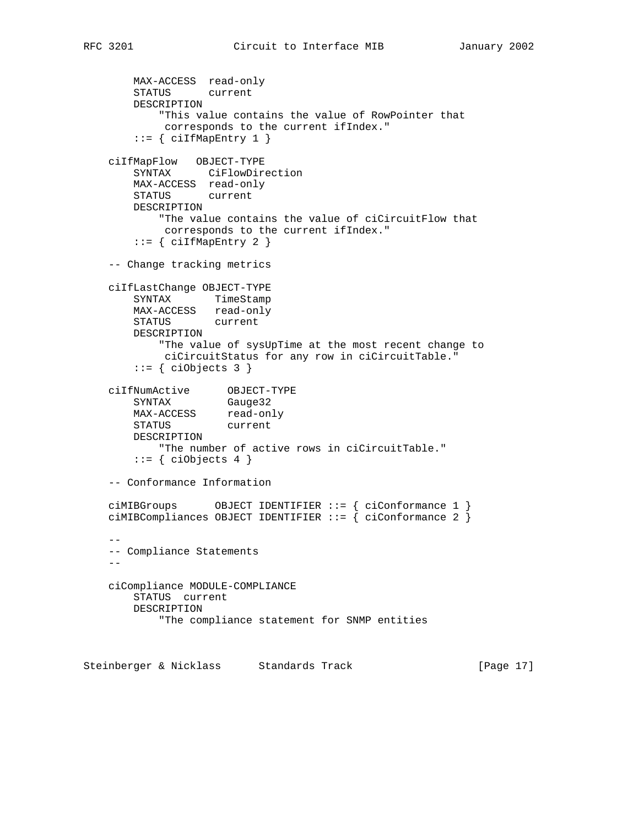```
 MAX-ACCESS read-only
        STATUS current
        DESCRIPTION
            "This value contains the value of RowPointer that
            corresponds to the current ifIndex."
       ::= { ciIfMapEntry 1 }
    ciIfMapFlow OBJECT-TYPE
        SYNTAX CiFlowDirection
        MAX-ACCESS read-only
        STATUS current
        DESCRIPTION
            "The value contains the value of ciCircuitFlow that
             corresponds to the current ifIndex."
       ::= { ciIfMapEntry 2 }
    -- Change tracking metrics
    ciIfLastChange OBJECT-TYPE
        SYNTAX TimeStamp
        MAX-ACCESS read-only
        STATUS current
        DESCRIPTION
            "The value of sysUpTime at the most recent change to
            ciCircuitStatus for any row in ciCircuitTable."
       ::= { ciObjects 3 }
 ciIfNumActive OBJECT-TYPE
SYNTAX Gauge32
MAX-ACCESS read-only
 STATUS current
        DESCRIPTION
            "The number of active rows in ciCircuitTable."
       ::= { ciObjects 4 }
    -- Conformance Information
 ciMIBGroups OBJECT IDENTIFIER ::= { ciConformance 1 }
 ciMIBCompliances OBJECT IDENTIFIER ::= { ciConformance 2 }
 --
    -- Compliance Statements
   - ciCompliance MODULE-COMPLIANCE
        STATUS current
        DESCRIPTION
            "The compliance statement for SNMP entities
```
Steinberger & Nicklass Standards Track [Page 17]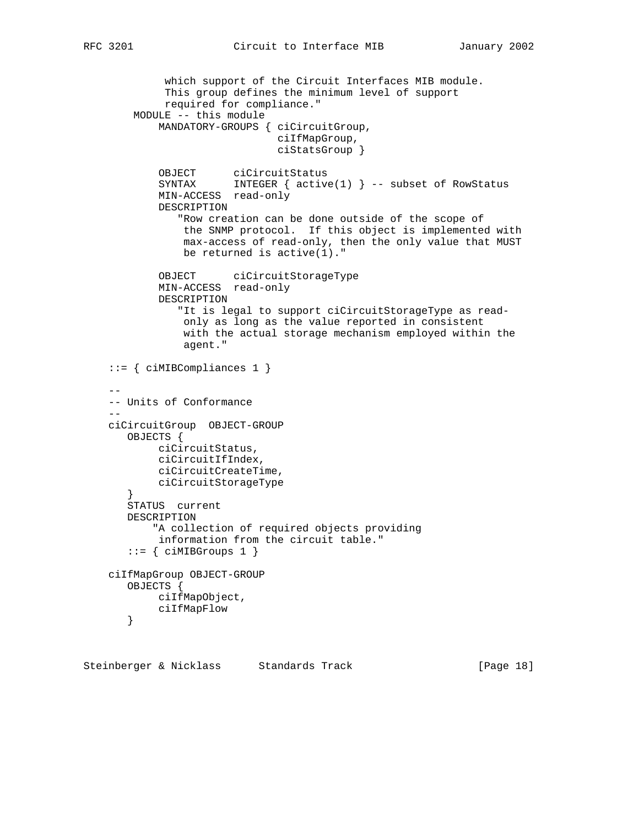```
 which support of the Circuit Interfaces MIB module.
             This group defines the minimum level of support
             required for compliance."
        MODULE -- this module
            MANDATORY-GROUPS { ciCircuitGroup,
                               ciIfMapGroup,
                               ciStatsGroup }
 OBJECT ciCircuitStatus
 SYNTAX INTEGER { active(1) } -- subset of RowStatus
            MIN-ACCESS read-only
            DESCRIPTION
               "Row creation can be done outside of the scope of
                the SNMP protocol. If this object is implemented with
                max-access of read-only, then the only value that MUST
                be returned is active(1)."
            OBJECT ciCircuitStorageType
            MIN-ACCESS read-only
            DESCRIPTION
               "It is legal to support ciCircuitStorageType as read-
                only as long as the value reported in consistent
                with the actual storage mechanism employed within the
                agent."
    ::= { ciMIBCompliances 1 }
 --
    -- Units of Conformance
 --
    ciCircuitGroup OBJECT-GROUP
       OBJECTS {
            ciCircuitStatus,
            ciCircuitIfIndex,
            ciCircuitCreateTime,
            ciCircuitStorageType
       }
       STATUS current
       DESCRIPTION
           "A collection of required objects providing
            information from the circuit table."
       ::= { ciMIBGroups 1 }
    ciIfMapGroup OBJECT-GROUP
       OBJECTS {
           ciIfMapObject,
           ciIfMapFlow
       }
```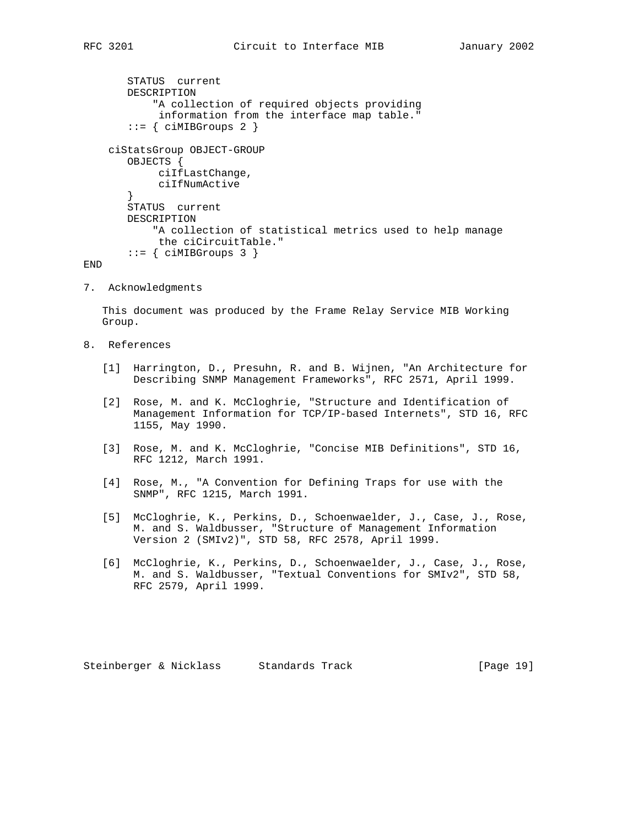```
 STATUS current
    DESCRIPTION
        "A collection of required objects providing
         information from the interface map table."
   ::= { ciMIBGroups 2 }
 ciStatsGroup OBJECT-GROUP
   OBJECTS {
         ciIfLastChange,
         ciIfNumActive
    }
    STATUS current
    DESCRIPTION
        "A collection of statistical metrics used to help manage
        the ciCircuitTable."
   ::= { ciMIBGroups 3 }
```
END

7. Acknowledgments

 This document was produced by the Frame Relay Service MIB Working Group.

- 8. References
	- [1] Harrington, D., Presuhn, R. and B. Wijnen, "An Architecture for Describing SNMP Management Frameworks", RFC 2571, April 1999.
	- [2] Rose, M. and K. McCloghrie, "Structure and Identification of Management Information for TCP/IP-based Internets", STD 16, RFC 1155, May 1990.
	- [3] Rose, M. and K. McCloghrie, "Concise MIB Definitions", STD 16, RFC 1212, March 1991.
	- [4] Rose, M., "A Convention for Defining Traps for use with the SNMP", RFC 1215, March 1991.
	- [5] McCloghrie, K., Perkins, D., Schoenwaelder, J., Case, J., Rose, M. and S. Waldbusser, "Structure of Management Information Version 2 (SMIv2)", STD 58, RFC 2578, April 1999.
	- [6] McCloghrie, K., Perkins, D., Schoenwaelder, J., Case, J., Rose, M. and S. Waldbusser, "Textual Conventions for SMIv2", STD 58, RFC 2579, April 1999.

Steinberger & Nicklass Standards Track [Page 19]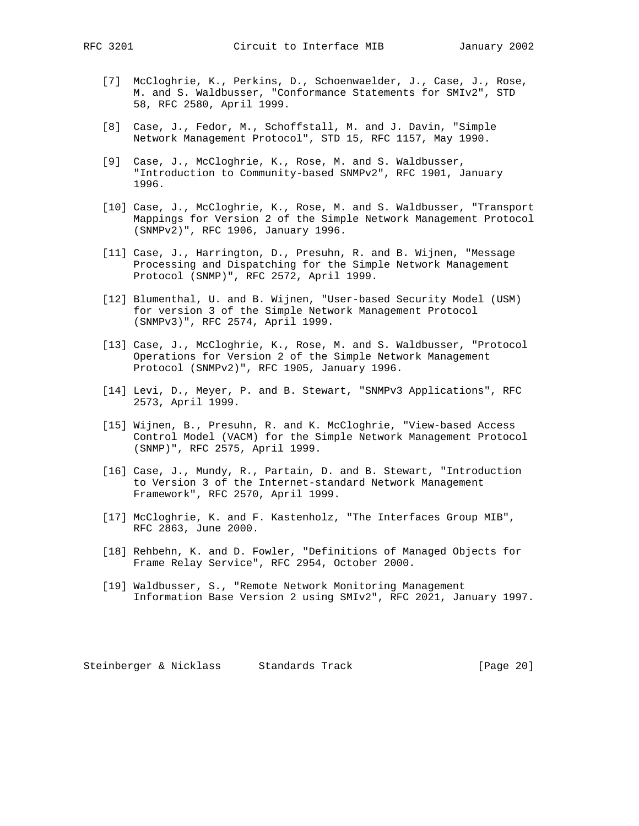- [7] McCloghrie, K., Perkins, D., Schoenwaelder, J., Case, J., Rose, M. and S. Waldbusser, "Conformance Statements for SMIv2", STD 58, RFC 2580, April 1999.
- [8] Case, J., Fedor, M., Schoffstall, M. and J. Davin, "Simple Network Management Protocol", STD 15, RFC 1157, May 1990.
- [9] Case, J., McCloghrie, K., Rose, M. and S. Waldbusser, "Introduction to Community-based SNMPv2", RFC 1901, January 1996.
- [10] Case, J., McCloghrie, K., Rose, M. and S. Waldbusser, "Transport Mappings for Version 2 of the Simple Network Management Protocol (SNMPv2)", RFC 1906, January 1996.
- [11] Case, J., Harrington, D., Presuhn, R. and B. Wijnen, "Message Processing and Dispatching for the Simple Network Management Protocol (SNMP)", RFC 2572, April 1999.
- [12] Blumenthal, U. and B. Wijnen, "User-based Security Model (USM) for version 3 of the Simple Network Management Protocol (SNMPv3)", RFC 2574, April 1999.
- [13] Case, J., McCloghrie, K., Rose, M. and S. Waldbusser, "Protocol Operations for Version 2 of the Simple Network Management Protocol (SNMPv2)", RFC 1905, January 1996.
- [14] Levi, D., Meyer, P. and B. Stewart, "SNMPv3 Applications", RFC 2573, April 1999.
- [15] Wijnen, B., Presuhn, R. and K. McCloghrie, "View-based Access Control Model (VACM) for the Simple Network Management Protocol (SNMP)", RFC 2575, April 1999.
- [16] Case, J., Mundy, R., Partain, D. and B. Stewart, "Introduction to Version 3 of the Internet-standard Network Management Framework", RFC 2570, April 1999.
- [17] McCloghrie, K. and F. Kastenholz, "The Interfaces Group MIB", RFC 2863, June 2000.
- [18] Rehbehn, K. and D. Fowler, "Definitions of Managed Objects for Frame Relay Service", RFC 2954, October 2000.
- [19] Waldbusser, S., "Remote Network Monitoring Management Information Base Version 2 using SMIv2", RFC 2021, January 1997.

Steinberger & Nicklass Standards Track [Page 20]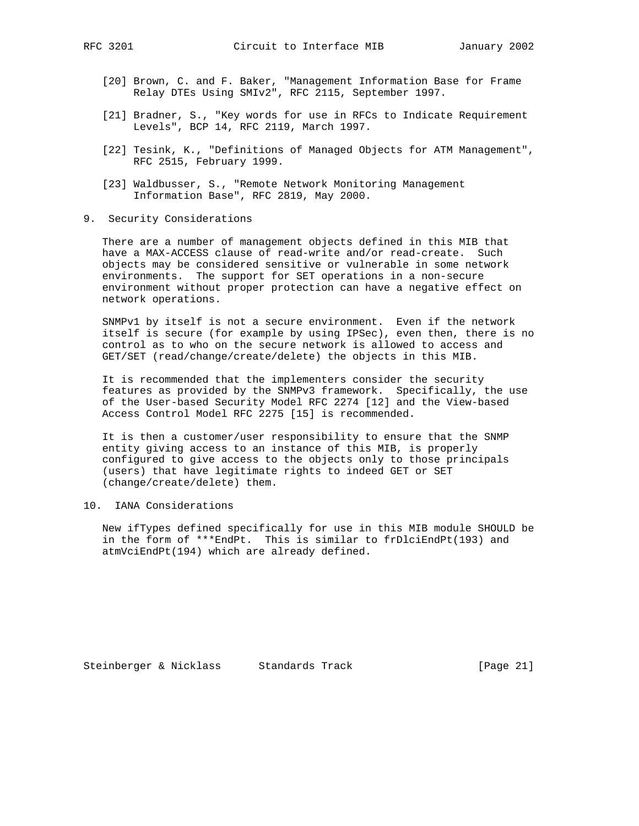- [20] Brown, C. and F. Baker, "Management Information Base for Frame Relay DTEs Using SMIv2", RFC 2115, September 1997.
- [21] Bradner, S., "Key words for use in RFCs to Indicate Requirement Levels", BCP 14, RFC 2119, March 1997.
- [22] Tesink, K., "Definitions of Managed Objects for ATM Management", RFC 2515, February 1999.
- [23] Waldbusser, S., "Remote Network Monitoring Management Information Base", RFC 2819, May 2000.
- 9. Security Considerations

 There are a number of management objects defined in this MIB that have a MAX-ACCESS clause of read-write and/or read-create. Such objects may be considered sensitive or vulnerable in some network environments. The support for SET operations in a non-secure environment without proper protection can have a negative effect on network operations.

 SNMPv1 by itself is not a secure environment. Even if the network itself is secure (for example by using IPSec), even then, there is no control as to who on the secure network is allowed to access and GET/SET (read/change/create/delete) the objects in this MIB.

 It is recommended that the implementers consider the security features as provided by the SNMPv3 framework. Specifically, the use of the User-based Security Model RFC 2274 [12] and the View-based Access Control Model RFC 2275 [15] is recommended.

 It is then a customer/user responsibility to ensure that the SNMP entity giving access to an instance of this MIB, is properly configured to give access to the objects only to those principals (users) that have legitimate rights to indeed GET or SET (change/create/delete) them.

## 10. IANA Considerations

 New ifTypes defined specifically for use in this MIB module SHOULD be in the form of \*\*\*EndPt. This is similar to frDlciEndPt(193) and atmVciEndPt(194) which are already defined.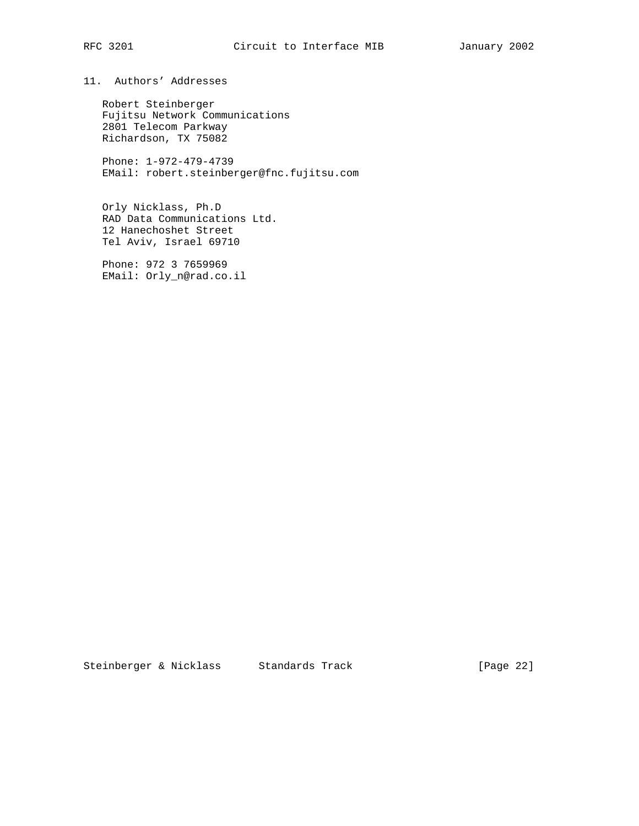# 11. Authors' Addresses

 Robert Steinberger Fujitsu Network Communications 2801 Telecom Parkway Richardson, TX 75082

 Phone: 1-972-479-4739 EMail: robert.steinberger@fnc.fujitsu.com

 Orly Nicklass, Ph.D RAD Data Communications Ltd. 12 Hanechoshet Street Tel Aviv, Israel 69710

 Phone: 972 3 7659969 EMail: Orly\_n@rad.co.il